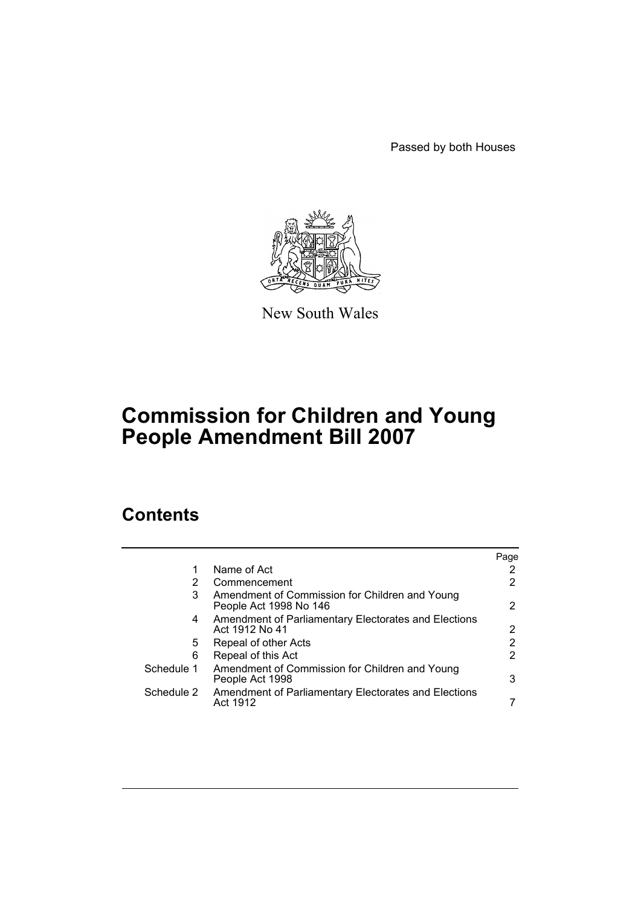Passed by both Houses



New South Wales

# **Commission for Children and Young People Amendment Bill 2007**

# **Contents**

|            |                                                                          | Page |
|------------|--------------------------------------------------------------------------|------|
| 1          | Name of Act                                                              |      |
| 2          | Commencement                                                             |      |
| 3          | Amendment of Commission for Children and Young<br>People Act 1998 No 146 | 2    |
| 4          | Amendment of Parliamentary Electorates and Elections<br>Act 1912 No 41   | 2    |
| 5          | Repeal of other Acts                                                     | 2    |
| 6          | Repeal of this Act                                                       | 2    |
| Schedule 1 | Amendment of Commission for Children and Young<br>People Act 1998        | 3    |
| Schedule 2 | Amendment of Parliamentary Electorates and Elections<br>Act 1912         |      |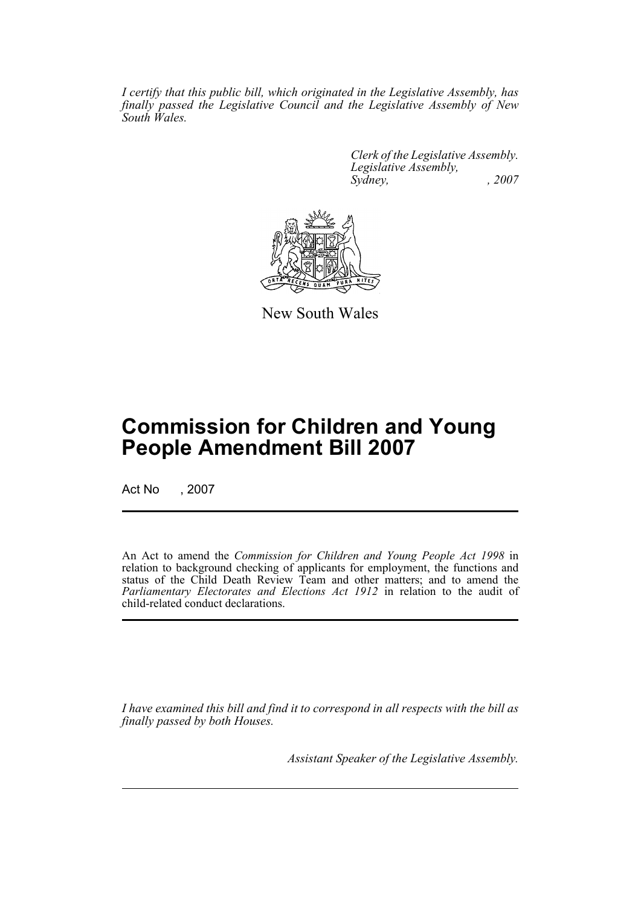*I certify that this public bill, which originated in the Legislative Assembly, has finally passed the Legislative Council and the Legislative Assembly of New South Wales.*

> *Clerk of the Legislative Assembly. Legislative Assembly, Sydney, , 2007*



New South Wales

# **Commission for Children and Young People Amendment Bill 2007**

Act No , 2007

An Act to amend the *Commission for Children and Young People Act 1998* in relation to background checking of applicants for employment, the functions and status of the Child Death Review Team and other matters; and to amend the *Parliamentary Electorates and Elections Act 1912* in relation to the audit of child-related conduct declarations.

*I have examined this bill and find it to correspond in all respects with the bill as finally passed by both Houses.*

*Assistant Speaker of the Legislative Assembly.*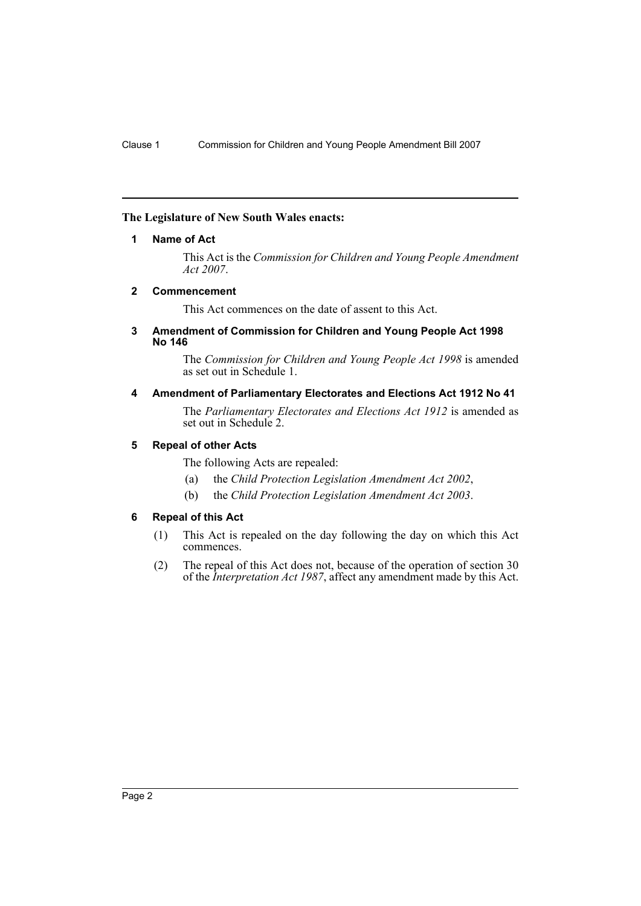#### <span id="page-2-0"></span>**The Legislature of New South Wales enacts:**

#### **1 Name of Act**

This Act is the *Commission for Children and Young People Amendment Act 2007*.

#### <span id="page-2-1"></span>**2 Commencement**

This Act commences on the date of assent to this Act.

#### <span id="page-2-2"></span>**3 Amendment of Commission for Children and Young People Act 1998 No 146**

The *Commission for Children and Young People Act 1998* is amended as set out in Schedule 1.

## <span id="page-2-3"></span>**4 Amendment of Parliamentary Electorates and Elections Act 1912 No 41**

The *Parliamentary Electorates and Elections Act 1912* is amended as set out in Schedule 2.

#### <span id="page-2-4"></span>**5 Repeal of other Acts**

The following Acts are repealed:

- (a) the *Child Protection Legislation Amendment Act 2002*,
- (b) the *Child Protection Legislation Amendment Act 2003*.

# <span id="page-2-5"></span>**6 Repeal of this Act**

- (1) This Act is repealed on the day following the day on which this Act commences.
- (2) The repeal of this Act does not, because of the operation of section 30 of the *Interpretation Act 1987*, affect any amendment made by this Act.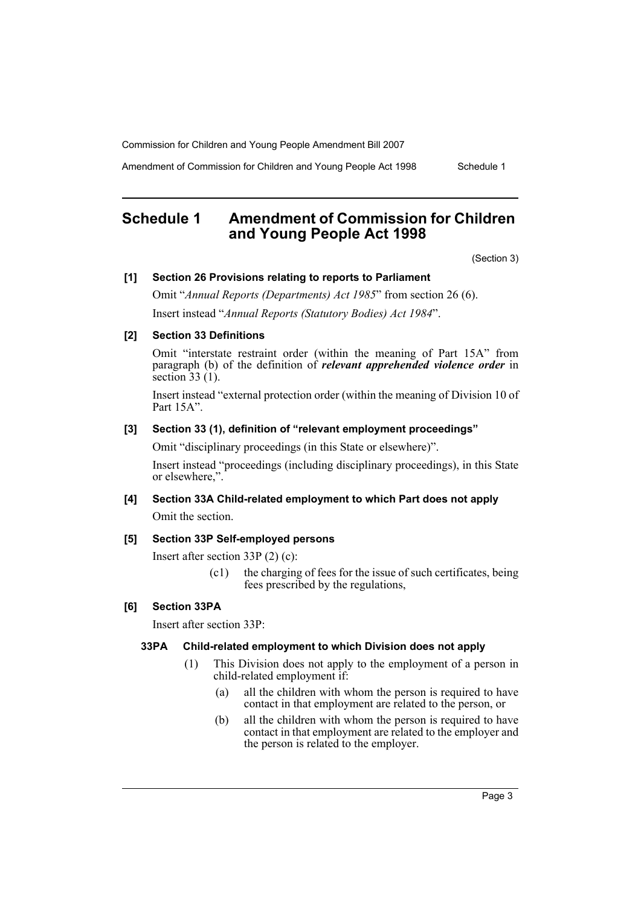Amendment of Commission for Children and Young People Act 1998 Schedule 1

# <span id="page-3-0"></span>**Schedule 1 Amendment of Commission for Children and Young People Act 1998**

(Section 3)

#### **[1] Section 26 Provisions relating to reports to Parliament**

Omit "*Annual Reports (Departments) Act 1985*" from section 26 (6). Insert instead "*Annual Reports (Statutory Bodies) Act 1984*".

#### **[2] Section 33 Definitions**

Omit "interstate restraint order (within the meaning of Part 15A" from paragraph (b) of the definition of *relevant apprehended violence order* in section 33 (1).

Insert instead "external protection order (within the meaning of Division 10 of Part 15A".

#### **[3] Section 33 (1), definition of "relevant employment proceedings"**

Omit "disciplinary proceedings (in this State or elsewhere)".

Insert instead "proceedings (including disciplinary proceedings), in this State or elsewhere,".

#### **[4] Section 33A Child-related employment to which Part does not apply**

Omit the section.

# **[5] Section 33P Self-employed persons**

Insert after section 33P (2) (c):

(c1) the charging of fees for the issue of such certificates, being fees prescribed by the regulations,

## **[6] Section 33PA**

Insert after section 33P:

#### **33PA Child-related employment to which Division does not apply**

- (1) This Division does not apply to the employment of a person in child-related employment if:
	- (a) all the children with whom the person is required to have contact in that employment are related to the person, or
	- (b) all the children with whom the person is required to have contact in that employment are related to the employer and the person is related to the employer.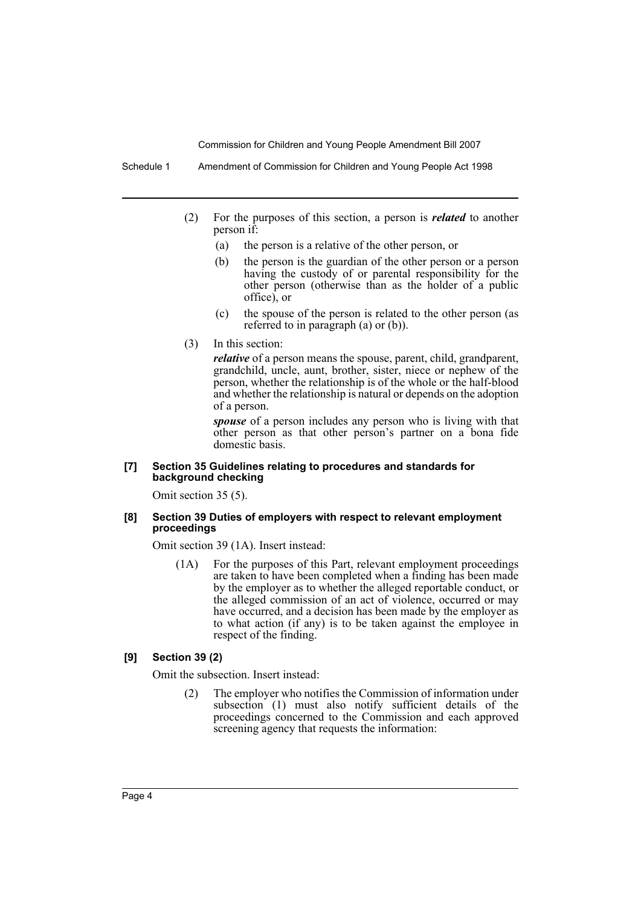Schedule 1 Amendment of Commission for Children and Young People Act 1998

- (2) For the purposes of this section, a person is *related* to another person if:
	- (a) the person is a relative of the other person, or
	- (b) the person is the guardian of the other person or a person having the custody of or parental responsibility for the other person (otherwise than as the holder of a public office), or
	- (c) the spouse of the person is related to the other person (as referred to in paragraph (a) or (b)).
- (3) In this section:

*relative* of a person means the spouse, parent, child, grandparent, grandchild, uncle, aunt, brother, sister, niece or nephew of the person, whether the relationship is of the whole or the half-blood and whether the relationship is natural or depends on the adoption of a person.

*spouse* of a person includes any person who is living with that other person as that other person's partner on a bona fide domestic basis.

#### **[7] Section 35 Guidelines relating to procedures and standards for background checking**

Omit section 35 (5).

#### **[8] Section 39 Duties of employers with respect to relevant employment proceedings**

Omit section 39 (1A). Insert instead:

(1A) For the purposes of this Part, relevant employment proceedings are taken to have been completed when a finding has been made by the employer as to whether the alleged reportable conduct, or the alleged commission of an act of violence, occurred or may have occurred, and a decision has been made by the employer as to what action (if any) is to be taken against the employee in respect of the finding.

#### **[9] Section 39 (2)**

Omit the subsection. Insert instead:

(2) The employer who notifies the Commission of information under subsection (1) must also notify sufficient details of the proceedings concerned to the Commission and each approved screening agency that requests the information: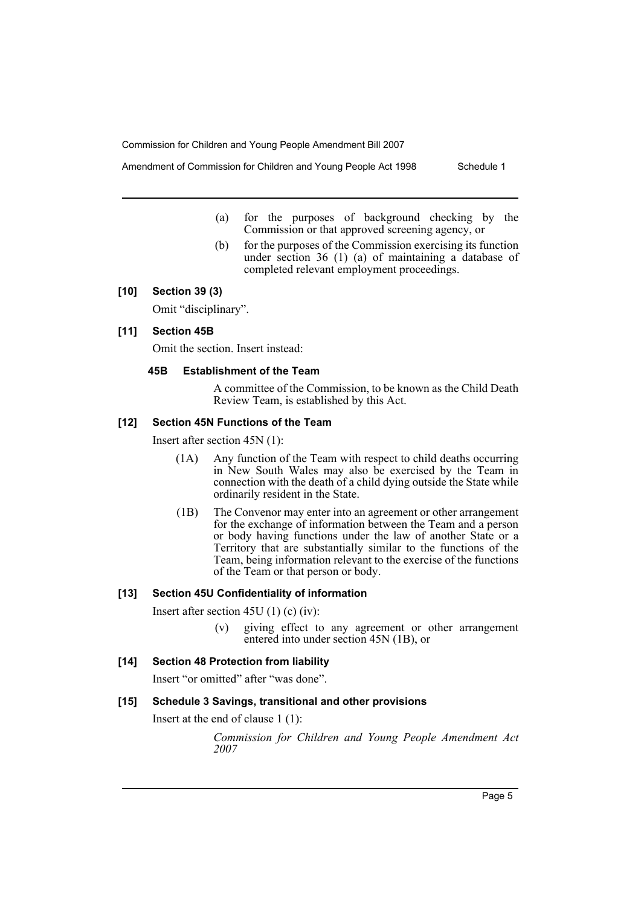Amendment of Commission for Children and Young People Act 1998 Schedule 1

- (a) for the purposes of background checking by the
	- Commission or that approved screening agency, or (b) for the purposes of the Commission exercising its function
	- under section 36 (1) (a) of maintaining a database of completed relevant employment proceedings.

# **[10] Section 39 (3)**

Omit "disciplinary".

# **[11] Section 45B**

Omit the section. Insert instead:

# **45B Establishment of the Team**

A committee of the Commission, to be known as the Child Death Review Team, is established by this Act.

# **[12] Section 45N Functions of the Team**

Insert after section 45N (1):

- (1A) Any function of the Team with respect to child deaths occurring in New South Wales may also be exercised by the Team in connection with the death of a child dying outside the State while ordinarily resident in the State.
- (1B) The Convenor may enter into an agreement or other arrangement for the exchange of information between the Team and a person or body having functions under the law of another State or a Territory that are substantially similar to the functions of the Team, being information relevant to the exercise of the functions of the Team or that person or body.

# **[13] Section 45U Confidentiality of information**

Insert after section 45U (1) (c) (iv):

(v) giving effect to any agreement or other arrangement entered into under section 45N (1B), or

# **[14] Section 48 Protection from liability**

Insert "or omitted" after "was done".

## **[15] Schedule 3 Savings, transitional and other provisions**

Insert at the end of clause 1 (1):

*Commission for Children and Young People Amendment Act 2007*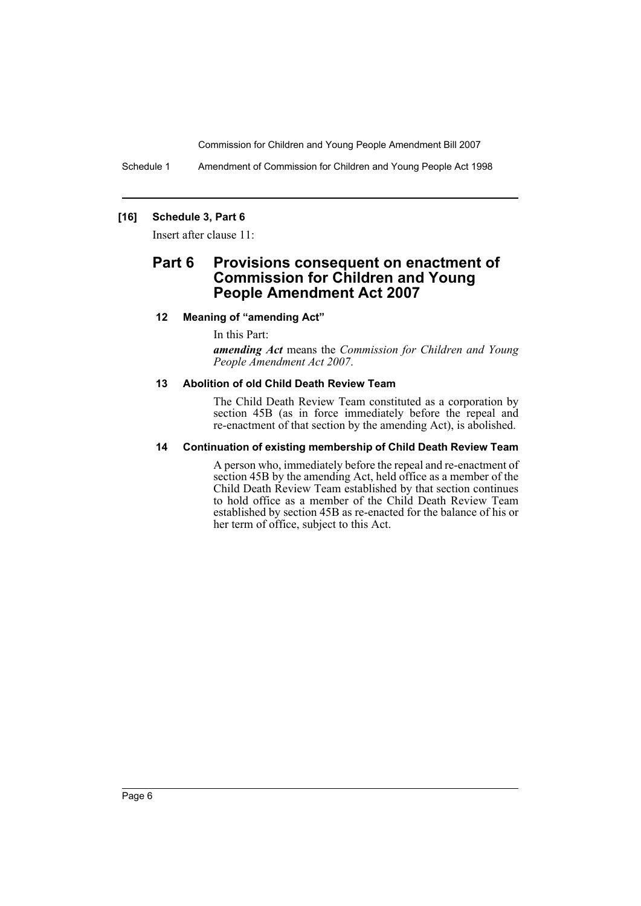Schedule 1 Amendment of Commission for Children and Young People Act 1998

# **[16] Schedule 3, Part 6**

Insert after clause 11:

# **Part 6 Provisions consequent on enactment of Commission for Children and Young People Amendment Act 2007**

## **12 Meaning of "amending Act"**

In this Part:

*amending Act* means the *Commission for Children and Young People Amendment Act 2007*.

# **13 Abolition of old Child Death Review Team**

The Child Death Review Team constituted as a corporation by section 45B (as in force immediately before the repeal and re-enactment of that section by the amending Act), is abolished.

## **14 Continuation of existing membership of Child Death Review Team**

A person who, immediately before the repeal and re-enactment of section 45B by the amending Act, held office as a member of the Child Death Review Team established by that section continues to hold office as a member of the Child Death Review Team established by section 45B as re-enacted for the balance of his or her term of office, subject to this Act.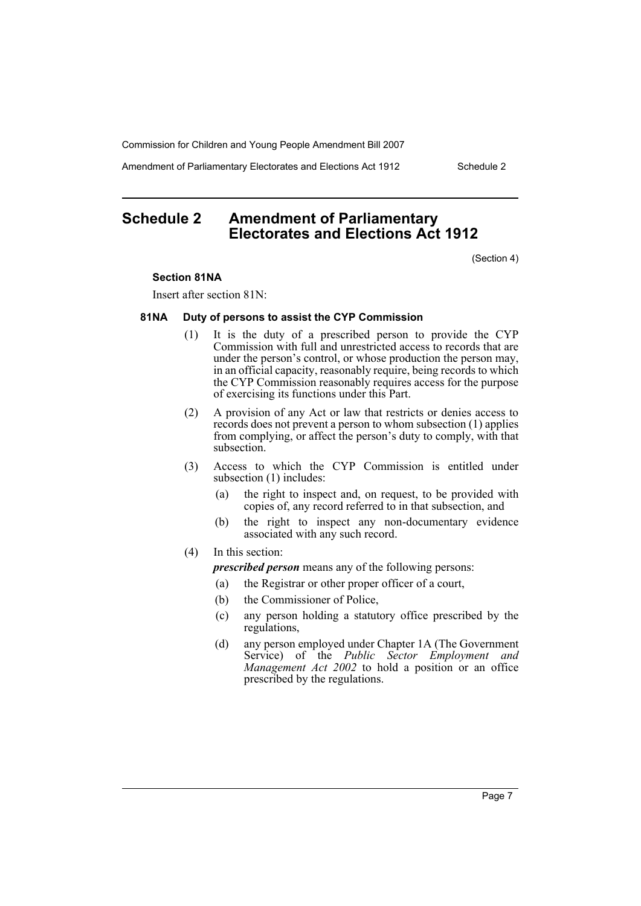Amendment of Parliamentary Electorates and Elections Act 1912 Schedule 2

# <span id="page-7-0"></span>**Schedule 2 Amendment of Parliamentary Electorates and Elections Act 1912**

(Section 4)

#### **Section 81NA**

Insert after section 81N:

#### **81NA Duty of persons to assist the CYP Commission**

- (1) It is the duty of a prescribed person to provide the CYP Commission with full and unrestricted access to records that are under the person's control, or whose production the person may, in an official capacity, reasonably require, being records to which the CYP Commission reasonably requires access for the purpose of exercising its functions under this Part.
- (2) A provision of any Act or law that restricts or denies access to records does not prevent a person to whom subsection (1) applies from complying, or affect the person's duty to comply, with that subsection.
- (3) Access to which the CYP Commission is entitled under subsection (1) includes:
	- (a) the right to inspect and, on request, to be provided with copies of, any record referred to in that subsection, and
	- (b) the right to inspect any non-documentary evidence associated with any such record.

#### (4) In this section:

*prescribed person* means any of the following persons:

- (a) the Registrar or other proper officer of a court,
- (b) the Commissioner of Police,
- (c) any person holding a statutory office prescribed by the regulations,
- (d) any person employed under Chapter 1A (The Government Service) of the *Public Sector Employment and Management Act 2002* to hold a position or an office prescribed by the regulations.